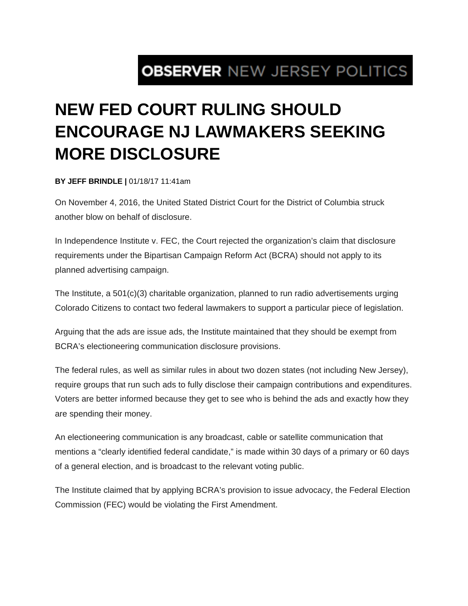## **OBSERVER NEW JERSEY POLITICS**

## **NEW FED COURT RULING SHOULD ENCOURAGE NJ LAWMAKERS SEEKING MORE DISCLOSURE**

**BY JEFF BRINDLE |** 01/18/17 11:41am

On November 4, 2016, the United Stated District Court for the District of Columbia struck another blow on behalf of disclosure.

In Independence Institute v. FEC, the Court rejected the organization's claim that disclosure requirements under the Bipartisan Campaign Reform Act (BCRA) should not apply to its planned advertising campaign.

The Institute, a 501(c)(3) charitable organization, planned to run radio advertisements urging Colorado Citizens to contact two federal lawmakers to support a particular piece of legislation.

Arguing that the ads are issue ads, the Institute maintained that they should be exempt from BCRA's electioneering communication disclosure provisions.

The federal rules, as well as similar rules in about two dozen states (not including New Jersey), require groups that run such ads to fully disclose their campaign contributions and expenditures. Voters are better informed because they get to see who is behind the ads and exactly how they are spending their money.

An electioneering communication is any broadcast, cable or satellite communication that mentions a "clearly identified federal candidate," is made within 30 days of a primary or 60 days of a general election, and is broadcast to the relevant voting public.

The Institute claimed that by applying BCRA's provision to issue advocacy, the Federal Election Commission (FEC) would be violating the First Amendment.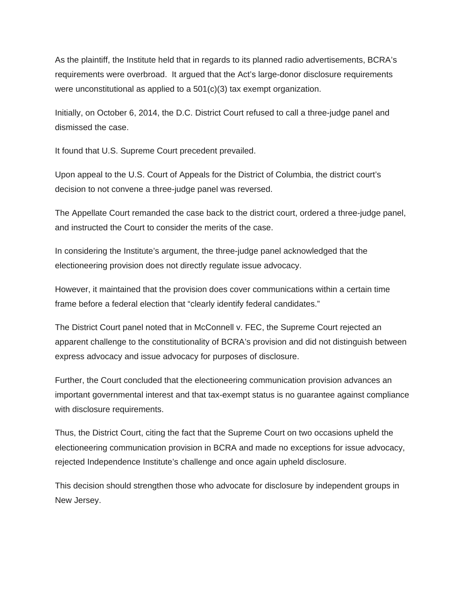As the plaintiff, the Institute held that in regards to its planned radio advertisements, BCRA's requirements were overbroad. It argued that the Act's large-donor disclosure requirements were unconstitutional as applied to a 501(c)(3) tax exempt organization.

Initially, on October 6, 2014, the D.C. District Court refused to call a three-judge panel and dismissed the case.

It found that U.S. Supreme Court precedent prevailed.

Upon appeal to the U.S. Court of Appeals for the District of Columbia, the district court's decision to not convene a three-judge panel was reversed.

The Appellate Court remanded the case back to the district court, ordered a three-judge panel, and instructed the Court to consider the merits of the case.

In considering the Institute's argument, the three-judge panel acknowledged that the electioneering provision does not directly regulate issue advocacy.

However, it maintained that the provision does cover communications within a certain time frame before a federal election that "clearly identify federal candidates."

The District Court panel noted that in McConnell v. FEC, the Supreme Court rejected an apparent challenge to the constitutionality of BCRA's provision and did not distinguish between express advocacy and issue advocacy for purposes of disclosure.

Further, the Court concluded that the electioneering communication provision advances an important governmental interest and that tax-exempt status is no guarantee against compliance with disclosure requirements.

Thus, the District Court, citing the fact that the Supreme Court on two occasions upheld the electioneering communication provision in BCRA and made no exceptions for issue advocacy, rejected Independence Institute's challenge and once again upheld disclosure.

This decision should strengthen those who advocate for disclosure by independent groups in New Jersey.